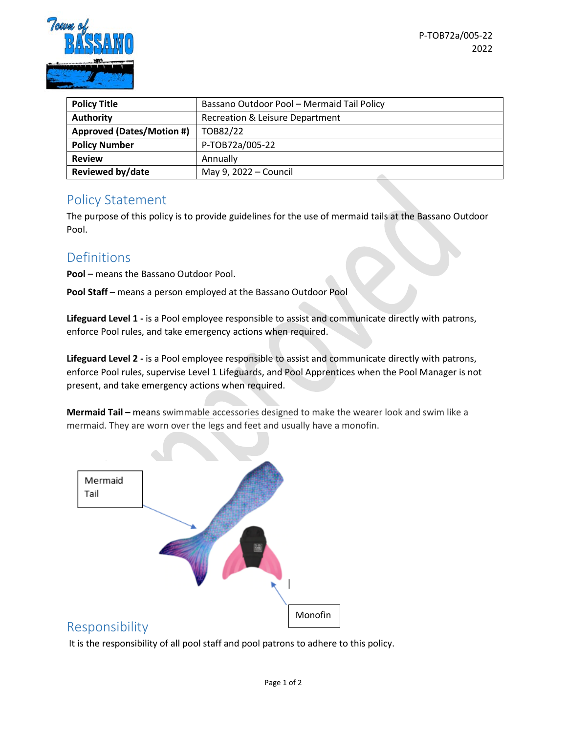

| <b>Policy Title</b>              | Bassano Outdoor Pool - Mermaid Tail Policy |
|----------------------------------|--------------------------------------------|
| <b>Authority</b>                 | Recreation & Leisure Department            |
| <b>Approved (Dates/Motion #)</b> | TOB82/22                                   |
| <b>Policy Number</b>             | P-TOB72a/005-22                            |
| <b>Review</b>                    | Annually                                   |
| <b>Reviewed by/date</b>          | May 9, 2022 - Council                      |

#### Policy Statement

The purpose of this policy is to provide guidelines for the use of mermaid tails at the Bassano Outdoor Pool.

# Definitions

**Pool** – means the Bassano Outdoor Pool.

**Pool Staff** – means a person employed at the Bassano Outdoor Pool

**Lifeguard Level 1 -** is a Pool employee responsible to assist and communicate directly with patrons, enforce Pool rules, and take emergency actions when required.

**Lifeguard Level 2 -** is a Pool employee responsible to assist and communicate directly with patrons, enforce Pool rules, supervise Level 1 Lifeguards, and Pool Apprentices when the Pool Manager is not present, and take emergency actions when required.

**Mermaid Tail –** means swimmable accessories designed to make the wearer look and swim like a mermaid. They are worn over the legs and feet and usually have a monofin.



# Responsibility

It is the responsibility of all pool staff and pool patrons to adhere to this policy.